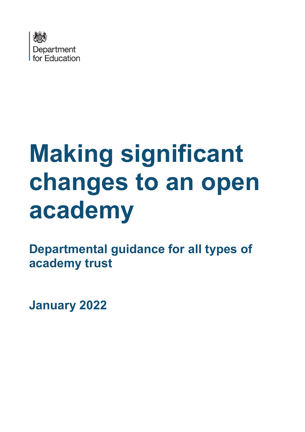

# **Making significant changes to an open academy**

**Departmental guidance for all types of academy trust**

**January 2022**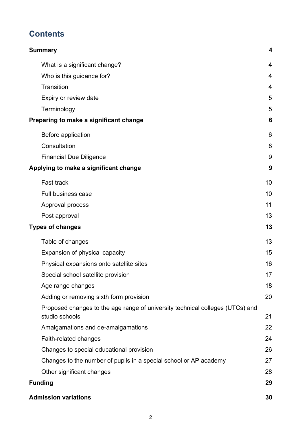## **Contents**

| <b>Summary</b>                                                                                  | $\overline{\mathbf{4}}$ |
|-------------------------------------------------------------------------------------------------|-------------------------|
| What is a significant change?                                                                   | 4                       |
| Who is this guidance for?                                                                       | 4                       |
| Transition                                                                                      | $\overline{4}$          |
| Expiry or review date                                                                           | 5                       |
| Terminology                                                                                     | 5                       |
| Preparing to make a significant change                                                          | 6                       |
| Before application                                                                              | 6                       |
| Consultation                                                                                    | 8                       |
| <b>Financial Due Diligence</b>                                                                  | 9                       |
| Applying to make a significant change                                                           | 9                       |
| <b>Fast track</b>                                                                               | 10                      |
| <b>Full business case</b>                                                                       | 10                      |
| Approval process                                                                                | 11                      |
| Post approval                                                                                   | 13                      |
| <b>Types of changes</b>                                                                         | 13                      |
| Table of changes                                                                                | 13                      |
| Expansion of physical capacity                                                                  | 15                      |
| Physical expansions onto satellite sites                                                        | 16                      |
| Special school satellite provision                                                              | 17                      |
| Age range changes                                                                               | 18                      |
| Adding or removing sixth form provision                                                         | 20                      |
| Proposed changes to the age range of university technical colleges (UTCs) and<br>studio schools | 21                      |
| Amalgamations and de-amalgamations                                                              | 22                      |
| Faith-related changes                                                                           | 24                      |
| Changes to special educational provision                                                        | 26                      |
| Changes to the number of pupils in a special school or AP academy                               | 27                      |
| Other significant changes                                                                       | 28                      |
| <b>Funding</b>                                                                                  | 29                      |
| <b>Admission variations</b>                                                                     | 30                      |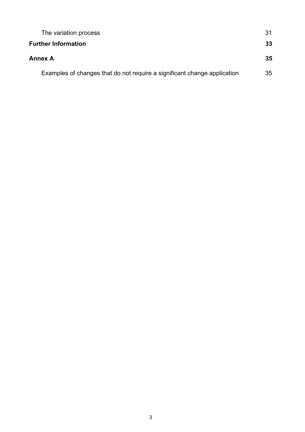| The variation process                                                    | 31 |
|--------------------------------------------------------------------------|----|
| <b>Further Information</b>                                               | 33 |
| <b>Annex A</b>                                                           | 35 |
| Examples of changes that do not require a significant change application | 35 |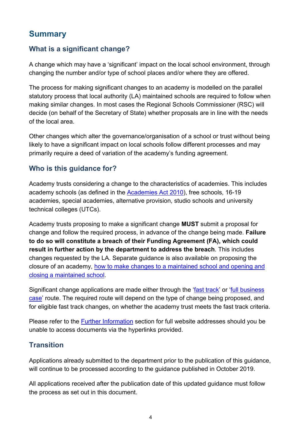## <span id="page-3-0"></span>**Summary**

## <span id="page-3-1"></span>**What is a significant change?**

A change which may have a 'significant' impact on the local school environment, through changing the number and/or type of school places and/or where they are offered.

The process for making significant changes to an academy is modelled on the parallel statutory process that local authority (LA) maintained schools are required to follow when making similar changes. In most cases the Regional Schools Commissioner (RSC) will decide (on behalf of the Secretary of State) whether proposals are in line with the needs of the local area.

Other changes which alter the governance/organisation of a school or trust without being likely to have a significant impact on local schools follow different processes and may primarily require a deed of variation of the academy's funding agreement.

## <span id="page-3-2"></span>**Who is this guidance for?**

Academy trusts considering a change to the characteristics of academies. This includes academy schools (as defined in the **Academies Act 2010**), free schools, 16-19 academies, special academies, alternative provision, studio schools and university technical colleges (UTCs).

Academy trusts proposing to make a significant change **MUST** submit a proposal for change and follow the required process, in advance of the change being made. **Failure to do so will constitute a breach of their Funding Agreement (FA), which could result in further action by the department to address the breach**. This includes changes requested by the LA. Separate guidance is also available on proposing the closure of an academy, [how to make changes to](https://www.gov.uk/government/publications/school-organisation-maintained-schools) a maintained school and opening and [closing a maintained school.](https://www.gov.uk/government/publications/school-organisation-maintained-schools)

Significant change applications are made either through the ['fast track'](#page-9-0) or ['full business](#page-9-1)  [case'](#page-9-1) route. The required route will depend on the type of change being proposed, and for eligible fast track changes, on whether the academy trust meets the fast track criteria.

Please refer to the [Further Information](#page-36-0) section for full website addresses should you be unable to access documents via the hyperlinks provided.

#### <span id="page-3-3"></span>**Transition**

Applications already submitted to the department prior to the publication of this guidance, will continue to be processed according to the guidance published in October 2019.

All applications received after the publication date of this updated guidance must follow the process as set out in this document.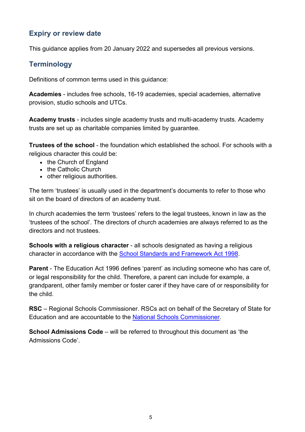#### <span id="page-4-0"></span>**Expiry or review date**

This guidance applies from 20 January 2022 and supersedes all previous versions.

## <span id="page-4-1"></span>**Terminology**

Definitions of common terms used in this guidance:

**Academies** - includes free schools, 16-19 academies, special academies, alternative provision, studio schools and UTCs.

**Academy trusts** - includes single academy trusts and multi-academy trusts. Academy trusts are set up as charitable companies limited by guarantee.

**Trustees of the school** - the foundation which established the school. For schools with a religious character this could be:

- the Church of England
- the Catholic Church
- other religious authorities.

The term 'trustees' is usually used in the department's documents to refer to those who sit on the board of directors of an academy trust.

In church academies the term 'trustees' refers to the legal trustees, known in law as the 'trustees of the school'. The directors of church academies are always referred to as the directors and not trustees.

**Schools with a religious character** - all schools designated as having a religious character in accordance with the [School Standards and Framework Act 1998.](http://www.legislation.gov.uk/ukpga/1998/31/contents)

**Parent** - The Education Act 1996 defines 'parent' as including someone who has care of, or legal responsibility for the child. Therefore, a parent can include for example, a grandparent, other family member or foster carer if they have care of or responsibility for the child.

**RSC** – Regional Schools Commissioner. RSCs act on behalf of the Secretary of State for Education and are accountable to the [National Schools Commissioner.](https://www.gov.uk/government/people/dominic-herrington)

**School Admissions Code** – will be referred to throughout this document as 'the Admissions Code'.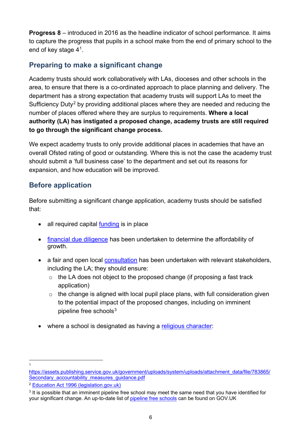**Progress 8** – introduced in 2016 as the headline indicator of school performance. It aims to capture the progress that pupils in a school make from the end of primary school to the end of key stage 4[1.](#page-5-2)

## <span id="page-5-0"></span>**Preparing to make a significant change**

Academy trusts should work collaboratively with LAs, dioceses and other schools in the area, to ensure that there is a co-ordinated approach to place planning and delivery. The department has a strong expectation that academy trusts will support LAs to meet the Sufficiency Duty<sup>[2](#page-5-3)</sup> by providing additional places where they are needed and reducing the number of places offered where they are surplus to requirements. **Where a local authority (LA) has instigated a proposed change, academy trusts are still required to go through the significant change process.**

We expect academy trusts to only provide additional places in academies that have an overall Ofsted rating of good or outstanding. Where this is not the case the academy trust should submit a 'full business case' to the department and set out its reasons for expansion, and how education will be improved.

## <span id="page-5-1"></span>**Before application**

Before submitting a significant change application, academy trusts should be satisfied that:

- all required capital [funding](#page-28-0) is in place
- [financial due diligence](#page-8-0) has been undertaken to determine the affordability of growth.
- a fair and open local [consultation](#page-7-0) has been undertaken with relevant stakeholders, including the LA; they should ensure:
	- $\circ$  the LA does not object to the proposed change (if proposing a fast track application)
	- $\circ$  the change is aligned with local pupil place plans, with full consideration given to the potential impact of the proposed changes, including on imminent pipeline free schools $3$
- where a school is designated as having a [religious character:](#page-23-0)

<sup>1</sup>

<span id="page-5-2"></span>[https://assets.publishing.service.gov.uk/government/uploads/system/uploads/attachment\\_data/file/783865/](https://assets.publishing.service.gov.uk/government/uploads/system/uploads/attachment_data/file/783865/Secondary_accountability_measures_guidance.pdf) Secondary accountability measures guidance.pdf

<span id="page-5-3"></span><sup>2</sup> [Education Act 1996 \(legislation.gov.uk\)](https://www.legislation.gov.uk/ukpga/1996/56/section/14)

<span id="page-5-4"></span> $3$  It is possible that an imminent pipeline free school may meet the same need that you have identified for your significant change. An up-to-date list of [pipeline free schools](https://www.gov.uk/government/publications/free-schools-successful-applications) can be found on GOV.UK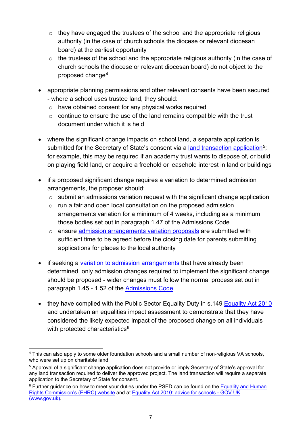- $\circ$  they have engaged the trustees of the school and the appropriate religious authority (in the case of church schools the diocese or relevant diocesan board) at the earliest opportunity
- $\circ$  the trustees of the school and the appropriate religious authority (in the case of church schools the diocese or relevant diocesan board) do not object to the proposed change[4](#page-6-0)
- appropriate planning permissions and other relevant consents have been secured - where a school uses trustee land, they should:
	- o have obtained consent for any physical works required
	- $\circ$  continue to ensure the use of the land remains compatible with the trust document under which it is held
- where the significant change impacts on school land, a separate application is submitted for the Secretary of State's consent via a [land transaction application](https://assets.publishing.service.gov.uk/government/uploads/system/uploads/attachment_data/file/958625/Involving_the_secretary_of_state_in_school_land_transactions_guidance.pdf)<sup>5</sup>; for example, this may be required if an academy trust wants to dispose of, or build on playing field land, or acquire a freehold or leasehold interest in land or buildings
- if a proposed significant change requires a variation to determined admission arrangements, the proposer should:
	- $\circ$  submit an admissions variation request with the significant change application
	- o run a fair and open local consultation on the proposed admission arrangements variation for a minimum of 4 weeks, including as a minimum those bodies set out in paragraph 1.47 of the Admissions Code
	- o ensure [admission arrangements variation](#page-29-0) proposals are submitted with sufficient time to be agreed before the closing date for parents submitting applications for places to the local authority
- if seeking a [variation to admission arrangements](#page-29-0) that have already been determined, only admission changes required to implement the significant change should be proposed - wider changes must follow the normal process set out in paragraph 1.45 - 1.52 of the [Admissions Code](https://www.gov.uk/government/publications/school-admissions-code--2)
- they have complied with the Public Sector Equality Duty in s.149 [Equality Act 2010](https://www.gov.uk/guidance/equality-act-2010-guidance) and undertaken an equalities impact assessment to demonstrate that they have considered the likely expected impact of the proposed change on all individuals with protected characteristics $6$

<span id="page-6-0"></span><sup>4</sup> This can also apply to some older foundation schools and a small number of non-religious VA schools, who were set up on charitable land.

<span id="page-6-1"></span><sup>&</sup>lt;sup>5</sup> Approval of a significant change application does not provide or imply Secretary of State's approval for any land transaction required to deliver the approved project. The land transaction will require a separate application to the Secretary of State for consent.

<span id="page-6-2"></span><sup>&</sup>lt;sup>6</sup> Further guidance on how to meet your duties under the PSED can be found on the Equality and Human [Rights Commission's \(EHRC\) website](https://www.equalityhumanrights.com/en) and at [Equality Act 2010: advice for schools - GOV.UK](https://www.gov.uk/government/publications/equality-act-2010-advice-for-schools)  [\(www.gov.uk\).](https://www.gov.uk/government/publications/equality-act-2010-advice-for-schools)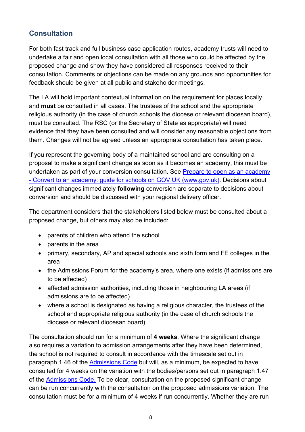## <span id="page-7-0"></span>**Consultation**

For both fast track and full business case application routes, academy trusts will need to undertake a fair and open local consultation with all those who could be affected by the proposed change and show they have considered all responses received to their consultation. Comments or objections can be made on any grounds and opportunities for feedback should be given at all public and stakeholder meetings.

The LA will hold important contextual information on the requirement for places locally and **must** be consulted in all cases. The trustees of the school and the appropriate religious authority (in the case of church schools the diocese or relevant diocesan board), must be consulted. The RSC (or the Secretary of State as appropriate) will need evidence that they have been consulted and will consider any reasonable objections from them. Changes will not be agreed unless an appropriate consultation has taken place.

If you represent the governing body of a maintained school and are consulting on a proposal to make a significant change as soon as it becomes an academy, this must be undertaken as part of your conversion consultation. See Prepare to open as an academy - Convert to an academy: guide for schools on GOV.UK (www.gov.uk). Decisions about significant changes immediately **following** conversion are separate to decisions about conversion and should be discussed with your regional delivery officer.

The department considers that the stakeholders listed below must be consulted about a proposed change, but others may also be included:

- parents of children who attend the school
- parents in the area
- primary, secondary, AP and special schools and sixth form and FE colleges in the area
- the Admissions Forum for the academy's area, where one exists (if admissions are to be affected)
- affected admission authorities, including those in neighbouring LA areas (if admissions are to be affected)
- where a school is designated as having a religious character, the trustees of the school and appropriate religious authority (in the case of church schools the diocese or relevant diocesan board)

The consultation should run for a minimum of **4 weeks**. Where the significant change also requires a variation to admission arrangements after they have been determined, the school is not required to consult in accordance with the timescale set out in paragraph 1.46 of the [Admissions Code](https://www.gov.uk/government/publications/school-admissions-code--2) but will, as a minimum, be expected to have consulted for 4 weeks on the variation with the bodies/persons set out in paragraph 1.47 of the [Admissions Code.](https://www.gov.uk/government/publications/school-admissions-code--2) To be clear, consultation on the proposed significant change can be run concurrently with the consultation on the proposed admissions variation. The consultation must be for a minimum of 4 weeks if run concurrently. Whether they are run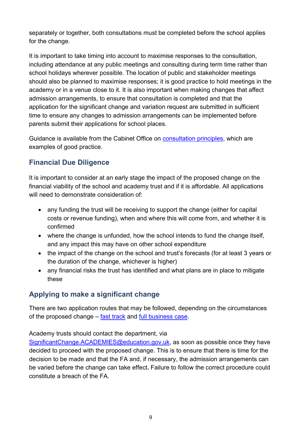separately or together, both consultations must be completed before the school applies for the change.

It is important to take timing into account to maximise responses to the consultation, including attendance at any public meetings and consulting during term time rather than school holidays wherever possible. The location of public and stakeholder meetings should also be planned to maximise responses; it is good practice to hold meetings in the academy or in a venue close to it. It is also important when making changes that affect admission arrangements, to ensure that consultation is completed and that the application for the significant change and variation request are submitted in sufficient time to ensure any changes to admission arrangements can be implemented before parents submit their applications for school places.

Guidance is available from the Cabinet Office on [consultation principles,](https://www.gov.uk/government/publications/consultation-principles-guidance) which are examples of good practice.

## <span id="page-8-0"></span>**Financial Due Diligence**

It is important to consider at an early stage the impact of the proposed change on the financial viability of the school and academy trust and if it is affordable. All applications will need to demonstrate consideration of:

- any funding the trust will be receiving to support the change (either for capital costs or revenue funding), when and where this will come from, and whether it is confirmed
- where the change is unfunded, how the school intends to fund the change itself, and any impact this may have on other school expenditure
- the impact of the change on the school and trust's forecasts (for at least 3 years or the duration of the change, whichever is higher)
- any financial risks the trust has identified and what plans are in place to mitigate these

## <span id="page-8-1"></span>**Applying to make a significant change**

There are two application routes that may be followed, depending on the circumstances of the proposed change – [fast track](https://assets.publishing.service.gov.uk/government/uploads/system/uploads/attachment_data/file/961772/Fast_track_form_Feb_2021_ods.ods) and [full business case.](https://assets.publishing.service.gov.uk/government/uploads/system/uploads/attachment_data/file/961785/Full_business_case_form_Feb_21_ods.ods)

#### Academy trusts should contact the department, via

[SignificantChange.ACADEMIES@education.gov.uk,](mailto:SignificantChange.ACADEMIES@education.gov.uk) as soon as possible once they have decided to proceed with the proposed change. This is to ensure that there is time for the decision to be made and that the FA and, if necessary, the admission arrangements can be varied before the change can take effect**.** Failure to follow the correct procedure could constitute a breach of the FA.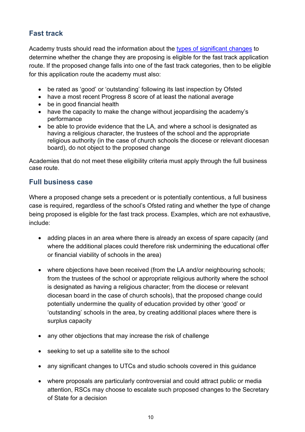## <span id="page-9-0"></span>**Fast track**

Academy trusts should read the information about the [types of significant changes](#page-12-1) to determine whether the change they are proposing is eligible for the fast track application route. If the proposed change falls into one of the fast track categories, then to be eligible for this application route the academy must also:

- be rated as 'good' or 'outstanding' following its last inspection by Ofsted
- have a most recent Progress 8 score of at least the national average
- be in good financial health
- have the capacity to make the change without jeopardising the academy's performance
- be able to provide evidence that the LA, and where a school is designated as having a religious character, the trustees of the school and the appropriate religious authority (in the case of church schools the diocese or relevant diocesan board), do not object to the proposed change

Academies that do not meet these eligibility criteria must apply through the full business case route.

## <span id="page-9-1"></span>**Full business case**

Where a proposed change sets a precedent or is potentially contentious, a full business case is required, regardless of the school's Ofsted rating and whether the type of change being proposed is eligible for the fast track process. Examples, which are not exhaustive, include:

- adding places in an area where there is already an excess of spare capacity (and where the additional places could therefore risk undermining the educational offer or financial viability of schools in the area)
- where objections have been received (from the LA and/or neighbouring schools; from the trustees of the school or appropriate religious authority where the school is designated as having a religious character; from the diocese or relevant diocesan board in the case of church schools), that the proposed change could potentially undermine the quality of education provided by other 'good' or 'outstanding' schools in the area, by creating additional places where there is surplus capacity
- any other objections that may increase the risk of challenge
- seeking to set up a satellite site to the school
- any significant changes to UTCs and studio schools covered in this guidance
- where proposals are particularly controversial and could attract public or media attention, RSCs may choose to escalate such proposed changes to the Secretary of State for a decision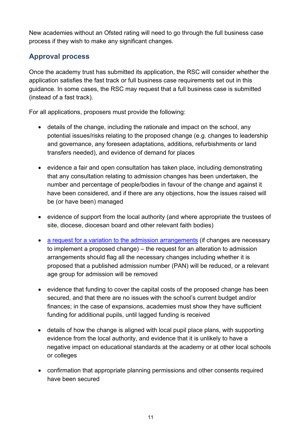New academies without an Ofsted rating will need to go through the full business case process if they wish to make any significant changes.

## <span id="page-10-0"></span>**Approval process**

Once the academy trust has submitted its application, the RSC will consider whether the application satisfies the fast track or full business case requirements set out in this guidance. In some cases, the RSC may request that a full business case is submitted (instead of a fast track).

For all applications, proposers must provide the following:

- details of the change, including the rationale and impact on the school, any potential issues/risks relating to the proposed change (e.g. changes to leadership and governance, any foreseen adaptations, additions, refurbishments or land transfers needed), and evidence of demand for places
- evidence a fair and open consultation has taken place, including demonstrating that any consultation relating to admission changes has been undertaken, the number and percentage of people/bodies in favour of the change and against it have been considered, and if there are any objections, how the issues raised will be (or have been) managed
- evidence of support from the local authority (and where appropriate the trustees of site, diocese, diocesan board and other relevant faith bodies)
- [a request for a variation to the admission arrangements](https://www.gov.uk/government/publications/in-year-variation-for-admissions) (if changes are necessary to implement a proposed change) – the request for an alteration to admission arrangements should flag all the necessary changes including whether it is proposed that a published admission number (PAN) will be reduced, or a relevant age group for admission will be removed
- evidence that funding to cover the capital costs of the proposed change has been secured, and that there are no issues with the school's current budget and/or finances; in the case of expansions, academies must show they have sufficient funding for additional pupils, until lagged funding is received
- details of how the change is aligned with local pupil place plans, with supporting evidence from the local authority, and evidence that it is unlikely to have a negative impact on educational standards at the academy or at other local schools or colleges
- confirmation that appropriate planning permissions and other consents required have been secured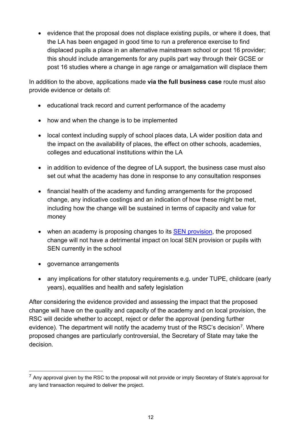• evidence that the proposal does not displace existing pupils, or where it does, that the LA has been engaged in good time to run a preference exercise to find displaced pupils a place in an alternative mainstream school or post 16 provider; this should include arrangements for any pupils part way through their GCSE or post 16 studies where a change in age range or amalgamation will displace them

In addition to the above, applications made **via the full business case** route must also provide evidence or details of:

- educational track record and current performance of the academy
- how and when the change is to be implemented
- local context including supply of school places data, LA wider position data and the impact on the availability of places, the effect on other schools, academies, colleges and educational institutions within the LA
- in addition to evidence of the degree of LA support, the business case must also set out what the academy has done in response to any consultation responses
- financial health of the academy and funding arrangements for the proposed change, any indicative costings and an indication of how these might be met, including how the change will be sustained in terms of capacity and value for money
- when an academy is proposing changes to its [SEN provision,](#page-25-0) the proposed change will not have a detrimental impact on local SEN provision or pupils with SEN currently in the school
- governance arrangements
- any implications for other statutory requirements e.g. under TUPE, childcare (early years), equalities and health and safety legislation

After considering the evidence provided and assessing the impact that the proposed change will have on the quality and capacity of the academy and on local provision, the RSC will decide whether to accept, reject or defer the approval (pending further evidence). The department will notify the academy trust of the RSC's decision<sup>7</sup>. Where proposed changes are particularly controversial, the Secretary of State may take the decision.

<span id="page-11-0"></span> $7$  Any approval given by the RSC to the proposal will not provide or imply Secretary of State's approval for any land transaction required to deliver the project.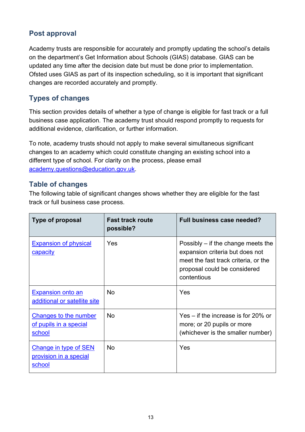## <span id="page-12-0"></span>**Post approval**

Academy trusts are responsible for accurately and promptly updating the school's details on the department's [Get Information about Schools \(](https://www.get-information-schools.service.gov.uk/)GIAS) database. GIAS can be updated any time after the decision date but must be done prior to implementation. Ofsted uses GIAS as part of its inspection scheduling, so it is important that significant changes are recorded accurately and promptly.

## <span id="page-12-1"></span>**Types of changes**

This section provides details of whether a type of change is eligible for fast track or a full business case application. The academy trust should respond promptly to requests for additional evidence, clarification, or further information.

To note, academy trusts should not apply to make several simultaneous significant changes to an academy which could constitute changing an existing school into a different type of school. For clarity on the process, please email [academy.questions@education.gov.uk.](mailto:academy.questions@education.gov.uk)

## <span id="page-12-2"></span>**Table of changes**

The following table of significant changes shows whether they are eligible for the fast track or full business case process.

| <b>Type of proposal</b>                                          | <b>Fast track route</b><br>possible? | <b>Full business case needed?</b>                                                                                                                              |
|------------------------------------------------------------------|--------------------------------------|----------------------------------------------------------------------------------------------------------------------------------------------------------------|
| <b>Expansion of physical</b><br><b>capacity</b>                  | Yes                                  | Possibly $-$ if the change meets the<br>expansion criteria but does not<br>meet the fast track criteria, or the<br>proposal could be considered<br>contentious |
| <b>Expansion onto an</b><br>additional or satellite site         | <b>No</b>                            | Yes                                                                                                                                                            |
| <b>Changes to the number</b><br>of pupils in a special<br>school | <b>No</b>                            | Yes $-$ if the increase is for 20% or<br>more; or 20 pupils or more<br>(whichever is the smaller number)                                                       |
| <b>Change in type of SEN</b><br>provision in a special<br>school | <b>No</b>                            | Yes                                                                                                                                                            |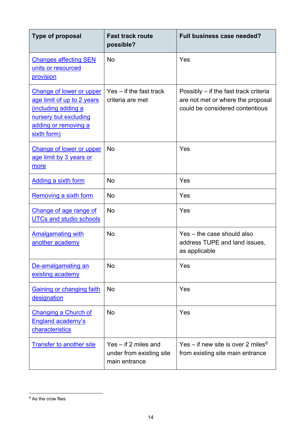| <b>Type of proposal</b>                                                                                                                             | <b>Fast track route</b><br>possible?                                | Full business case needed?                                                                                    |
|-----------------------------------------------------------------------------------------------------------------------------------------------------|---------------------------------------------------------------------|---------------------------------------------------------------------------------------------------------------|
| <b>Changes affecting SEN</b><br>units or resourced<br>provision                                                                                     | <b>No</b>                                                           | Yes                                                                                                           |
| <b>Change of lower or upper</b><br>age limit of up to 2 years<br>including adding a<br>nursery but excluding<br>adding or removing a<br>sixth form) | $Yes - if the fast track$<br>criteria are met                       | Possibly – if the fast track criteria<br>are not met or where the proposal<br>could be considered contentious |
| <b>Change of lower or upper</b><br>age limit by 3 years or<br>more                                                                                  | <b>No</b>                                                           | Yes                                                                                                           |
| <b>Adding a sixth form</b>                                                                                                                          | <b>No</b>                                                           | Yes                                                                                                           |
| Removing a sixth form                                                                                                                               | <b>No</b>                                                           | Yes                                                                                                           |
| Change of age range of<br><b>UTCs and studio schools</b>                                                                                            | <b>No</b>                                                           | Yes                                                                                                           |
| <b>Amalgamating with</b><br>another academy                                                                                                         | <b>No</b>                                                           | Yes – the case should also<br>address TUPE and land issues,<br>as applicable                                  |
| De-amalgamating an<br>existing academy                                                                                                              | <b>No</b>                                                           | Yes                                                                                                           |
| <b>Gaining or changing faith</b><br>designation                                                                                                     | <b>No</b>                                                           | Yes                                                                                                           |
| <b>Changing a Church of</b><br><b>England academy's</b><br><u>characteristics</u>                                                                   | No                                                                  | Yes                                                                                                           |
| <b>Transfer to another site</b>                                                                                                                     | $Yes - if 2 miles and$<br>under from existing site<br>main entrance | Yes – if new site is over 2 miles <sup>8</sup><br>from existing site main entrance                            |

<span id="page-13-0"></span><sup>&</sup>lt;sup>8</sup> As the crow flies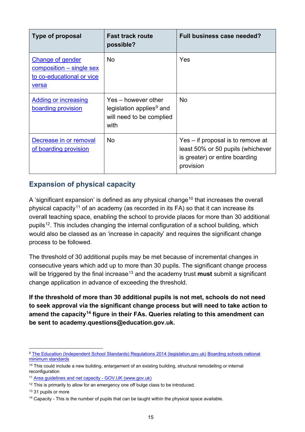| <b>Type of proposal</b>                                                                            | <b>Fast track route</b><br>possible?                                                            | Full business case needed?                                                                                            |
|----------------------------------------------------------------------------------------------------|-------------------------------------------------------------------------------------------------|-----------------------------------------------------------------------------------------------------------------------|
| <b>Change of gender</b><br>$composition - single sex$<br>to co-educational or vice<br><u>versa</u> | <b>No</b>                                                                                       | Yes                                                                                                                   |
| Adding or increasing<br>boarding provision                                                         | Yes – however other<br>legislation applies <sup>9</sup> and<br>will need to be complied<br>with | <b>No</b>                                                                                                             |
| Decrease in or removal<br>of boarding provision                                                    | <b>No</b>                                                                                       | Yes – if proposal is to remove at<br>least 50% or 50 pupils (whichever<br>is greater) or entire boarding<br>provision |

## <span id="page-14-0"></span>**Expansion of physical capacity**

A 'significant expansion' is defined as any physical change<sup>[10](#page-14-2)</sup> that increases the overall physical capacity<sup>[11](#page-14-3)</sup> of an academy (as recorded in its FA) so that it can increase its overall teaching space, enabling the school to provide places for more than 30 additional pupils<sup>[12](#page-14-4)</sup>. This includes changing the internal configuration of a school building, which would also be classed as an 'increase in capacity' and requires the significant change process to be followed.

The threshold of 30 additional pupils may be met because of incremental changes in consecutive years which add up to more than 30 pupils. The significant change process will be triggered by the final increase<sup>[13](#page-14-5)</sup> and the academy trust **must** submit a significant change application in advance of exceeding the threshold.

**If the threshold of more than 30 additional pupils is not met, schools do not need to seek approval via the significant change process but will need to take action to amend the capacity[14](#page-14-6) figure in their FAs. Queries relating to this amendment can be sent to academy.questions@education.gov.uk.** 

<span id="page-14-1"></span><sup>9</sup> [The Education \(Independent School Standards\) Regulations 2014 \(legislation.gov.uk\)](https://www.legislation.gov.uk/uksi/2014/3283/schedule/part/5/made) [Boarding schools national](https://www.gov.uk/government/publications/boarding-schools-national-minimum-standards)  [minimum standards](https://www.gov.uk/government/publications/boarding-schools-national-minimum-standards)

<span id="page-14-2"></span><sup>&</sup>lt;sup>10</sup> This could include a new building, enlargement of an existing building, structural remodelling or internal reconfiguration

<span id="page-14-3"></span><sup>11</sup> [Area guidelines and net capacity - GOV.UK \(www.gov.uk\)](https://www.gov.uk/government/publications/area-guidelines-and-net-capacity)

<span id="page-14-4"></span> $12$  This is primarily to allow for an emergency one off bulge class to be introduced.

<span id="page-14-5"></span><sup>&</sup>lt;sup>13</sup> 31 pupils or more

<span id="page-14-6"></span> $14$  Capacity - This is the number of pupils that can be taught within the physical space available.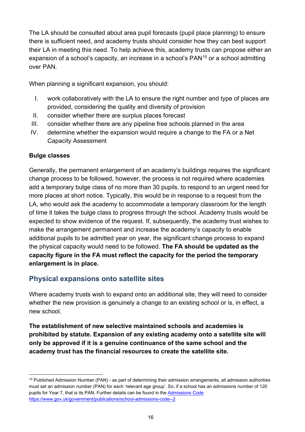The LA should be consulted about area pupil forecasts (pupil place planning) to ensure there is sufficient need, and academy trusts should consider how they can best support their LA in meeting this need. To help achieve this, academy trusts can propose either an expansion of a school's capacity, an increase in a school's  $PAN<sup>15</sup>$  $PAN<sup>15</sup>$  $PAN<sup>15</sup>$  or a school admitting over PAN.

When planning a significant expansion, you should:

- I. work collaboratively with the LA to ensure the right number and type of places are provided, considering the quality and diversity of provision
- II. consider whether there are surplus places forecast
- III. consider whether there are any pipeline free schools planned in the area
- IV. determine whether the expansion would require a change to the FA or a Net Capacity Assessment

#### **Bulge classes**

Generally, the permanent enlargement of an academy's buildings requires the significant change process to be followed, however, the process is not required where academies add a temporary bulge class of no more than 30 pupils, to respond to an urgent need for more places at short notice. Typically, this would be in response to a request from the LA, who would ask the academy to accommodate a temporary classroom for the length of time it takes the bulge class to progress through the school. Academy trusts would be expected to show evidence of the request. If, subsequently, the academy trust wishes to make the arrangement permanent and increase the academy's capacity to enable additional pupils to be admitted year on year, the significant change process to expand the physical capacity would need to be followed. **The FA should be updated as the capacity figure in the FA must reflect the capacity for the period the temporary enlargement is in place.**

#### <span id="page-15-0"></span>**Physical expansions onto satellite sites**

Where academy trusts wish to expand onto an additional site, they will need to consider whether the new provision is genuinely a change to an existing school or is, in effect, a new school.

**The establishment of new selective maintained schools and academies is prohibited by statute. Expansion of any existing academy onto a satellite site will only be approved if it is a genuine continuance of the same school and the academy trust has the financial resources to create the satellite site.** 

<span id="page-15-1"></span> $15$  Published Admission Number (PAN) - as part of determining their admission arrangements, all admission authorities must set an admission number (PAN) for each 'relevant age group'. So, if a school has an admissions number of 120 pupils for Year 7, that is its PAN. Further details can be found in the Admissions Code <https://www.gov.uk/government/publications/school-admissions-code--2>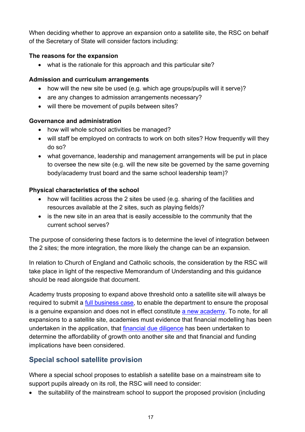When deciding whether to approve an expansion onto a satellite site, the RSC on behalf of the Secretary of State will consider factors including:

#### **The reasons for the expansion**

• what is the rationale for this approach and this particular site?

#### **Admission and curriculum arrangements**

- how will the new site be used (e.g. which age groups/pupils will it serve)?
- are any changes to admission arrangements necessary?
- will there be movement of pupils between sites?

#### **Governance and administration**

- how will whole school activities be managed?
- will staff be employed on contracts to work on both sites? How frequently will they do so?
- what governance, leadership and management arrangements will be put in place to oversee the new site (e.g. will the new site be governed by the same governing body/academy trust board and the same school leadership team)?

#### **Physical characteristics of the school**

- how will facilities across the 2 sites be used (e.g. sharing of the facilities and resources available at the 2 sites, such as playing fields)?
- is the new site in an area that is easily accessible to the community that the current school serves?

The purpose of considering these factors is to determine the level of integration between the 2 sites; the more integration, the more likely the change can be an expansion.

In relation to Church of England and Catholic schools, the consideration by the RSC will take place in light of the respective Memorandum of Understanding and this guidance should be read alongside that document.

Academy trusts proposing to expand above threshold onto a satellite site will always be required to submit a [full business case,](#page-9-1) to enable the department to ensure the proposal is a genuine expansion and does not in effect constitute [a new academy.](https://www.gov.uk/government/publications/establishing-a-new-school-free-school-presumption) To note, for all expansions to a satellite site, academies must evidence that financial modelling has been undertaken in the application, that [financial due diligence](#page-8-0) has been undertaken to determine the affordability of growth onto another site and that financial and funding implications have been considered.

## <span id="page-16-0"></span>**Special school satellite provision**

Where a special school proposes to establish a satellite base on a mainstream site to support pupils already on its roll, the RSC will need to consider:

• the suitability of the mainstream school to support the proposed provision (including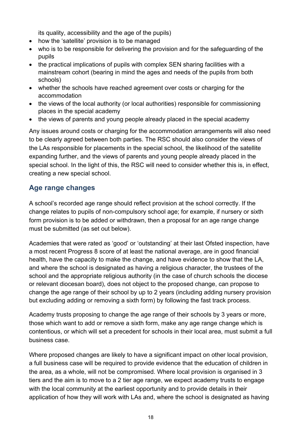its quality, accessibility and the age of the pupils)

- how the 'satellite' provision is to be managed
- who is to be responsible for delivering the provision and for the safeguarding of the pupils
- the practical implications of pupils with complex SEN sharing facilities with a mainstream cohort (bearing in mind the ages and needs of the pupils from both schools)
- whether the schools have reached agreement over costs or charging for the accommodation
- the views of the local authority (or local authorities) responsible for commissioning places in the special academy
- the views of parents and young people already placed in the special academy

Any issues around costs or charging for the accommodation arrangements will also need to be clearly agreed between both parties. The RSC should also consider the views of the LAs responsible for placements in the special school, the likelihood of the satellite expanding further, and the views of parents and young people already placed in the special school. In the light of this, the RSC will need to consider whether this is, in effect, creating a new special school.

## <span id="page-17-0"></span>**Age range changes**

A school's recorded age range should reflect provision at the school correctly. If the change relates to pupils of non-compulsory school age; for example, if nursery or sixth form provision is to be added or withdrawn, then a proposal for an age range change must be submitted (as set out below).

Academies that were rated as 'good' or 'outstanding' at their last Ofsted inspection, have a most recent Progress 8 score of at least the national average, are in good financial health, have the capacity to make the change, and have evidence to show that the LA, and where the school is designated as having a religious character, the trustees of the school and the appropriate religious authority (in the case of church schools the diocese or relevant diocesan board), does not object to the proposed change, can propose to change the age range of their school by up to 2 years (including adding nursery provision but excluding adding or removing a sixth form) by following the fast track process.

Academy trusts proposing to change the age range of their schools by 3 years or more, those which want to add or remove a sixth form, make any age range change which is contentious, or which will set a precedent for schools in their local area, must submit a full business case.

Where proposed changes are likely to have a significant impact on other local provision, a full business case will be required to provide evidence that the education of children in the area, as a whole, will not be compromised. Where local provision is organised in 3 tiers and the aim is to move to a 2 tier age range, we expect academy trusts to engage with the local community at the earliest opportunity and to provide details in their application of how they will work with LAs and, where the school is designated as having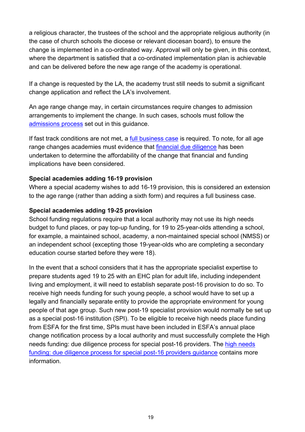a religious character, the trustees of the school and the appropriate religious authority (in the case of church schools the diocese or relevant diocesan board), to ensure the change is implemented in a co-ordinated way. Approval will only be given, in this context, where the department is satisfied that a co-ordinated implementation plan is achievable and can be delivered before the new age range of the academy is operational.

If a change is requested by the LA, the academy trust still needs to submit a significant change application and reflect the LA's involvement.

An age range change may, in certain circumstances require changes to admission arrangements to implement the change. In such cases, schools must follow the [admissions process](#page-29-0) set out in this guidance.

If fast track conditions are not met, a [full business case](#page-9-1) is required. To note, for all age range changes academies must evidence that [financial due diligence](#page-8-0) has been undertaken to determine the affordability of the change that financial and funding implications have been considered.

#### **Special academies adding 16-19 provision**

Where a special academy wishes to add 16-19 provision, this is considered an extension to the age range (rather than adding a sixth form) and requires a full business case.

#### **Special academies adding 19-25 provision**

School funding regulations require that a local authority may not use its high needs budget to fund places, or pay top-up funding, for 19 to 25-year-olds attending a school, for example, a maintained school, academy, a non-maintained special school (NMSS) or an independent school (excepting those 19-year-olds who are completing a secondary education course started before they were 18).

In the event that a school considers that it has the appropriate specialist expertise to prepare students aged 19 to 25 with an EHC plan for adult life, including independent living and employment, it will need to establish separate post-16 provision to do so. To receive high needs funding for such young people, a school would have to set up a legally and financially separate entity to provide the appropriate environment for young people of that age group. Such new post-19 specialist provision would normally be set up as a special post-16 institution (SPI). To be eligible to receive high needs place funding from ESFA for the first time, SPIs must have been included in ESFA's annual place change notification process by a local authority and must successfully complete the High needs funding: due diligence process for special post-16 providers. The [high needs](https://www.gov.uk/government/publications/high-needs-funding-due-diligence-process-for-new-special-post-16-providers)  [funding: due diligence process for special post-16 providers guidance](https://www.gov.uk/government/publications/high-needs-funding-due-diligence-process-for-new-special-post-16-providers) contains more information.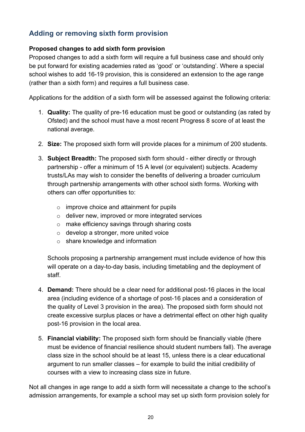## <span id="page-19-0"></span>**Adding or removing sixth form provision**

#### <span id="page-19-1"></span>**Proposed changes to add sixth form provision**

Proposed changes to add a sixth form will require a full business case and should only be put forward for existing academies rated as 'good' or 'outstanding'. Where a special school wishes to add 16-19 provision, this is considered an extension to the age range (rather than a sixth form) and requires a full business case.

Applications for the addition of a sixth form will be assessed against the following criteria:

- 1. **Quality:** The quality of pre-16 education must be good or outstanding (as rated by Ofsted) and the school must have a most recent Progress 8 score of at least the national average.
- 2. **Size:** The proposed sixth form will provide places for a minimum of 200 students.
- 3. **Subject Breadth:** The proposed sixth form should either directly or through partnership - offer a minimum of 15 A level (or equivalent) subjects. Academy trusts/LAs may wish to consider the benefits of delivering a broader curriculum through partnership arrangements with other school sixth forms. Working with others can offer opportunities to:
	- $\circ$  improve choice and attainment for pupils
	- o deliver new, improved or more integrated services
	- o make efficiency savings through sharing costs
	- o develop a stronger, more united voice
	- o share knowledge and information

Schools proposing a partnership arrangement must include evidence of how this will operate on a day-to-day basis, including timetabling and the deployment of staff.

- 4. **Demand:** There should be a clear need for additional post-16 places in the local area (including evidence of a shortage of post-16 places and a consideration of the quality of Level 3 provision in the area). The proposed sixth form should not create excessive surplus places or have a detrimental effect on other high quality post-16 provision in the local area.
- 5. **Financial viability:** The proposed sixth form should be financially viable (there must be evidence of financial resilience should student numbers fall). The average class size in the school should be at least 15, unless there is a clear educational argument to run smaller classes – for example to build the initial credibility of courses with a view to increasing class size in future.

Not all changes in age range to add a sixth form will necessitate a change to the school's admission arrangements, for example a school may set up sixth form provision solely for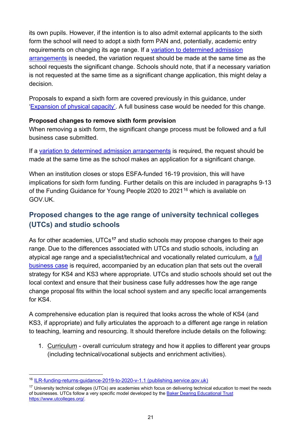its own pupils. However, if the intention is to also admit external applicants to the sixth form the school will need to adopt a sixth form PAN and, potentially, academic entry requirements on changing its age range. If a [variation to determined admission](#page-29-0)  [arrangements](#page-29-0) is needed, the variation request should be made at the same time as the school requests the significant change. Schools should note, that if a necessary variation is not requested at the same time as a significant change application, this might delay a decision.

Proposals to expand a sixth form are covered previously in this guidance, under ['Expansion of physical capacity'.](#page-14-0) A full business case would be needed for this change.

#### <span id="page-20-1"></span>**Proposed changes to remove sixth form provision**

When removing a sixth form, the significant change process must be followed and a full business case submitted.

If a variation [to determined admission arrangements](#page-29-0) is required, the request should be made at the same time as the school makes an application for a significant change.

When an institution closes or stops ESFA-funded 16-19 provision, this will have implications for sixth form funding. Further details on this are included in paragraphs 9-13 of the Funding Guidance for Young People 2020 to 2021<sup>[16](#page-20-2)</sup> which is available on GOV.UK.

## <span id="page-20-0"></span>**Proposed changes to the age range of university technical colleges (UTCs) and studio schools**

As for other academies, UTCs**[17](#page-20-3)** and studio schools may propose changes to their age range. Due to the differences associated with UTCs and studio schools, including an atypical age range and a specialist/technical and vocationally related curriculum, a full [business case](#page-9-1) is required, accompanied by an education plan that sets out the overall strategy for KS4 and KS3 where appropriate. UTCs and studio schools should set out the local context and ensure that their business case fully addresses how the age range change proposal fits within the local school system and any specific local arrangements for KS4.

A comprehensive education plan is required that looks across the whole of KS4 (and KS3, if appropriate) and fully articulates the approach to a different age range in relation to teaching, learning and resourcing. It should therefore include details on the following:

1. Curriculum - overall curriculum strategy and how it applies to different year groups (including technical/vocational subjects and enrichment activities).

<span id="page-20-2"></span><sup>16</sup> [ILR-funding-returns-guidance-2019-to-2020-v-1.1 \(publishing.service.gov.uk\)](https://assets.publishing.service.gov.uk/government/uploads/system/uploads/attachment_data/file/936971/ILR-funding-returns-guidance-2020-to-2021-v-1.1.pdf#:%7E:text=1.%20The%20funding%20guidance%20for%20young%20people%202020,the%20Education%20and%20Skills%20Funding%20Agency%20%28ESFA%29.%202.)

<span id="page-20-3"></span><sup>&</sup>lt;sup>17</sup> University technical colleges (UTCs) are academies which focus on delivering technical education to meet the needs of businesses. UTCs follow a very specific model developed by the **Baker Dearing Educational Trust** [https://www.utcolleges.org/.](https://www.utcolleges.org/)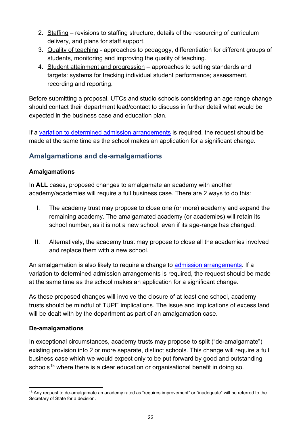- 2. Staffing revisions to staffing structure, details of the resourcing of curriculum delivery, and plans for staff support.
- 3. Quality of teaching approaches to pedagogy, differentiation for different groups of students, monitoring and improving the quality of teaching.
- 4. Student attainment and progression approaches to setting standards and targets: systems for tracking individual student performance; assessment, recording and reporting.

Before submitting a proposal, UTCs and studio schools considering an age range change should contact their department lead/contact to discuss in further detail what would be expected in the business case and education plan.

If a [variation to determined admission arrangements](#page-29-0) is required, the request should be made at the same time as the school makes an application for a significant change.

## <span id="page-21-0"></span>**Amalgamations and de-amalgamations**

#### <span id="page-21-1"></span>**Amalgamations**

In **ALL** cases, proposed changes to amalgamate an academy with another academy/academies will require a full business case. There are 2 ways to do this:

- I. The academy trust may propose to close one (or more) academy and expand the remaining academy. The amalgamated academy (or academies) will retain its school number, as it is not a new school, even if its age-range has changed.
- II. Alternatively, the academy trust may propose to close all the academies involved and replace them with a new school.

An amalgamation is also likely to require a change to **admission arrangements**. If a variation to determined admission arrangements is required, the request should be made at the same time as the school makes an application for a significant change.

As these proposed changes will involve the closure of at least one school, academy trusts should be mindful of TUPE implications. The issue and implications of excess land will be dealt with by the department as part of an amalgamation case.

#### <span id="page-21-2"></span>**De-amalgamations**

In exceptional circumstances, academy trusts may propose to split ("de-amalgamate") existing provision into 2 or more separate, distinct schools. This change will require a full business case which we would expect only to be put forward by good and outstanding schools<sup>[18](#page-21-3)</sup> where there is a clear education or organisational benefit in doing so.

<span id="page-21-3"></span><sup>&</sup>lt;sup>18</sup> Any request to de-amalgamate an academy rated as "requires improvement" or "inadequate" will be referred to the Secretary of State for a decision.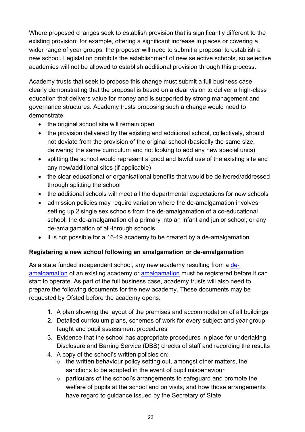Where proposed changes seek to establish provision that is significantly different to the existing provision; for example, offering a significant increase in places or covering a wider range of year groups, the proposer will need to submit a proposal to establish a new school. Legislation prohibits the establishment of new selective schools, so selective academies will not be allowed to establish additional provision through this process.

Academy trusts that seek to propose this change must submit a full business case, clearly demonstrating that the proposal is based on a clear vision to deliver a high-class education that delivers value for money and is supported by strong management and governance structures. Academy trusts proposing such a change would need to demonstrate:

- the original school site will remain open
- the provision delivered by the existing and additional school, collectively, should not deviate from the provision of the original school (basically the same size, delivering the same curriculum and not looking to add any new special units)
- splitting the school would represent a good and lawful use of the existing site and any new/additional sites (if applicable)
- the clear educational or organisational benefits that would be delivered/addressed through splitting the school
- the additional schools will meet all the departmental expectations for new schools
- admission policies may require variation where the de-amalgamation involves setting up 2 single sex schools from the de-amalgamation of a co-educational school; the de-amalgamation of a primary into an infant and junior school; or any de-amalgamation of all-through schools
- it is not possible for a 16-19 academy to be created by a de-amalgamation

#### **Registering a new school following an amalgamation or de-amalgamation**

As a state funded independent school, any new academy resulting from a [de](#page-21-2)[amalgamation](#page-21-2) of an existing academy or [amalgamation](#page-21-1) must be registered before it can start to operate. As part of the full business case, academy trusts will also need to prepare the following documents for the new academy. These documents may be requested by Ofsted before the academy opens:

- 1. A plan showing the layout of the premises and accommodation of all buildings
- 2. Detailed curriculum plans, schemes of work for every subject and year group taught and pupil assessment procedures
- 3. Evidence that the school has appropriate procedures in place for undertaking Disclosure and Barring Service (DBS) checks of staff and recording the results
- 4. A copy of the school's written policies on:
	- $\circ$  the written behaviour policy setting out, amongst other matters, the sanctions to be adopted in the event of pupil misbehaviour
	- o particulars of the school's arrangements to safeguard and promote the welfare of pupils at the school and on visits, and how those arrangements have regard to guidance issued by the Secretary of State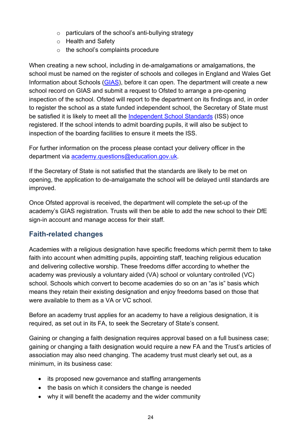- o particulars of the school's anti-bullying strategy
- o Health and Safety
- $\circ$  the school's complaints procedure

When creating a new school, including in de-amalgamations or amalgamations, the school must be named on the register of schools and colleges in England and Wales Get Information about Schools [\(GIAS\)](https://get-information-schools.service.gov.uk/), before it can open. The department will create a new school record on GIAS and submit a request to Ofsted to arrange a pre-opening inspection of the school. Ofsted will report to the department on its findings and, in order to register the school as a state funded independent school, the Secretary of State must be satisfied it is likely to meet all the [Independent School Standards](https://assets.publishing.service.gov.uk/government/uploads/system/uploads/attachment_data/file/389467/Revised_independent_school_standards.pdf) (ISS) once registered. If the school intends to admit boarding pupils, it will also be subject to inspection of the boarding facilities to ensure it meets the ISS.

For further information on the process please contact your delivery officer in the department via [academy.questions@education.gov.uk.](mailto:academy.questions@education.gov.uk)

If the Secretary of State is not satisfied that the standards are likely to be met on opening, the application to de-amalgamate the school will be delayed until standards are improved.

Once Ofsted approval is received, the department will complete the set-up of the academy's GIAS registration. Trusts will then be able to add the new school to their DfE sign-in account and manage access for their staff.

#### <span id="page-23-0"></span>**Faith-related changes**

Academies with a religious designation have specific freedoms which permit them to take faith into account when admitting pupils, appointing staff, teaching religious education and delivering collective worship. These freedoms differ according to whether the academy was previously a voluntary aided (VA) school or voluntary controlled (VC) school. Schools which convert to become academies do so on an "as is" basis which means they retain their existing designation and enjoy freedoms based on those that were available to them as a VA or VC school.

Before an academy trust applies for an academy to have a religious designation, it is required, as set out in its FA, to seek the Secretary of State's consent.

Gaining or changing a faith designation requires approval based on a full business case; gaining or changing a faith designation would require a new FA and the Trust's articles of association may also need changing. The academy trust must clearly set out, as a minimum, in its business case:

- its proposed new governance and staffing arrangements
- the basis on which it considers the change is needed
- why it will benefit the academy and the wider community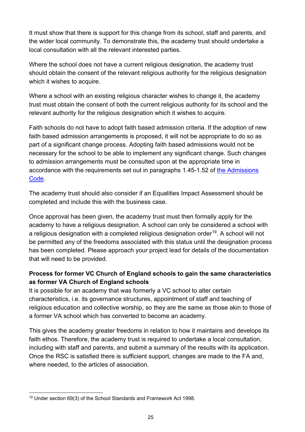It must show that there is support for this change from its school, staff and parents, and the wider local community. To demonstrate this, the academy trust should undertake a local consultation with all the relevant interested parties.

Where the school does not have a current religious designation, the academy trust should obtain the consent of the relevant religious authority for the religious designation which it wishes to acquire.

Where a school with an existing religious character wishes to change it, the academy trust must obtain the consent of both the current religious authority for its school and the relevant authority for the religious designation which it wishes to acquire.

Faith schools do not have to adopt faith based admission criteria. If the adoption of new faith based admission arrangements is proposed, it will not be appropriate to do so as part of a significant change process. Adopting faith based admissions would not be necessary for the school to be able to implement any significant change. Such changes to admission arrangements must be consulted upon at the appropriate time in accordance with the requirements set out in paragraphs 1.45-1.52 of [the Admissions](https://www.gov.uk/government/publications/school-admissions-code--2)  [Code.](https://www.gov.uk/government/publications/school-admissions-code--2)

The academy trust should also consider if an Equalities Impact Assessment should be completed and include this with the business case.

Once approval has been given, the academy trust must then formally apply for the academy to have a religious designation. A school can only be considered a school with a religious designation with a completed religious designation order<sup>19</sup>. A school will not be permitted any of the freedoms associated with this status until the designation process has been completed. Please approach your project lead for details of the documentation that will need to be provided.

#### **Process for former VC Church of England schools to gain the same characteristics as former VA Church of England schools**

It is possible for an academy that was formerly a VC school to alter certain characteristics, i.e. its governance structures, appointment of staff and teaching of religious education and collective worship, so they are the same as those akin to those of a former VA school which has converted to become an academy.

This gives the academy greater freedoms in relation to how it maintains and develops its faith ethos. Therefore, the academy trust is required to undertake a local consultation, including with staff and parents, and submit a summary of the results with its application. Once the RSC is satisfied there is sufficient support, changes are made to the FA and, where needed, to the articles of association.

<span id="page-24-0"></span><sup>19</sup> Under section 69(3) of the School Standards and Framework Act 1998.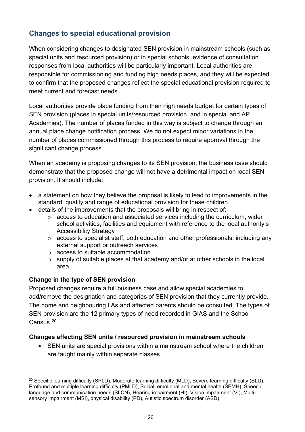## <span id="page-25-0"></span>**Changes to special educational provision**

When considering changes to designated SEN provision in mainstream schools (such as special units and resourced provision) or in special schools, evidence of consultation responses from local authorities will be particularly important. Local authorities are responsible for commissioning and funding high needs places, and they will be expected to confirm that the proposed changes reflect the special educational provision required to meet current and forecast needs.

Local authorities provide place funding from their high needs budget for certain types of SEN provision (places in special units/resourced provision, and in special and AP Academies). The number of places funded in this way is subject to change through an annual place change notification process. We do not expect minor variations in the number of places commissioned through this process to require approval through the significant change process.

When an academy is proposing changes to its SEN provision, the business case should demonstrate that the proposed change will not have a detrimental impact on local SEN provision. It should include:

- a statement on how they believe the proposal is likely to lead to improvements in the standard, quality and range of educational provision for these children
- details of the improvements that the proposals will bring in respect of:
	- $\circ$  access to education and associated services including the curriculum, wider school activities, facilities and equipment with reference to the local authority's Accessibility Strategy
	- o access to specialist staff, both education and other professionals, including any external support or outreach services
	- o access to suitable accommodation
	- o supply of suitable places at that academy and/or at other schools in the local area

#### <span id="page-25-1"></span>**Change in the type of SEN provision**

Proposed changes require a full business case and allow special academies to add/remove the designation and categories of SEN provision that they currently provide. The home and neighbouring LAs and affected parents should be consulted. The types of SEN provision are the 12 primary types of need recorded in GIAS and the School Census.[20](#page-25-3)

#### <span id="page-25-2"></span>**Changes affecting SEN units / resourced provision in mainstream schools**

• SEN units are special provisions within a mainstream school where the children are taught mainly within separate classes

<span id="page-25-3"></span><sup>&</sup>lt;sup>20</sup> Specific learning difficulty (SPLD), Moderate learning difficulty (MLD), Severe learning difficulty (SLD), Profound and multiple learning difficulty (PMLD), Social, emotional and mental health (SEMH), Speech, language and communication needs (SLCN), Hearing impairment (HI), Vision impairment (VI), Multisensory impairment (MSI), physical disability (PD), Autistic spectrum disorder (ASD).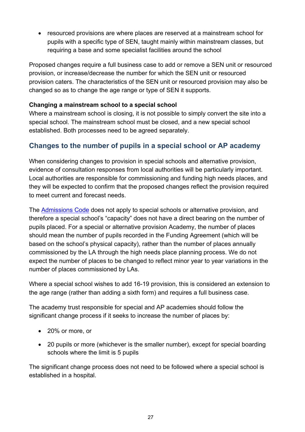• resourced provisions are where places are reserved at a mainstream school for pupils with a specific type of SEN, taught mainly within mainstream classes, but requiring a base and some specialist facilities around the school

Proposed changes require a full business case to add or remove a SEN unit or resourced provision, or increase/decrease the number for which the SEN unit or resourced provision caters. The characteristics of the SEN unit or resourced provision may also be changed so as to change the age range or type of SEN it supports.

#### **Changing a mainstream school to a special school**

Where a mainstream school is closing, it is not possible to simply convert the site into a special school. The mainstream school must be closed, and a new special school established. Both processes need to be agreed separately.

## <span id="page-26-0"></span>**Changes to the number of pupils in a special school or AP academy**

When considering changes to provision in special schools and alternative provision, evidence of consultation responses from local authorities will be particularly important. Local authorities are responsible for commissioning and funding high needs places, and they will be expected to confirm that the proposed changes reflect the provision required to meet current and forecast needs.

The [Admissions Code](https://www.gov.uk/government/publications/school-admissions-code--2) does not apply to special schools or alternative provision, and therefore a special school's "capacity" does not have a direct bearing on the number of pupils placed. For a special or alternative provision Academy, the number of places should mean the number of pupils recorded in the Funding Agreement (which will be based on the school's physical capacity), rather than the number of places annually commissioned by the LA through the high needs place planning process. We do not expect the number of places to be changed to reflect minor year to year variations in the number of places commissioned by LAs.

Where a special school wishes to add 16-19 provision, this is considered an extension to the age range (rather than adding a sixth form) and requires a full business case.

The academy trust responsible for special and AP academies should follow the significant change process if it seeks to increase the number of places by:

- 20% or more, or
- 20 pupils or more (whichever is the smaller number), except for special boarding schools where the limit is 5 pupils

The significant change process does not need to be followed where a special school is established in a hospital.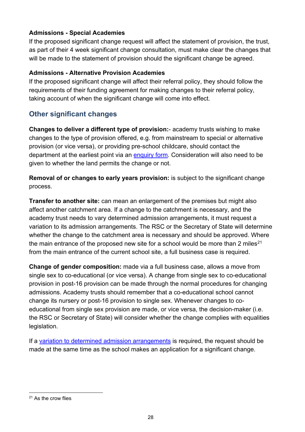#### **Admissions - Special Academies**

If the proposed significant change request will affect the statement of provision, the trust, as part of their 4 week significant change consultation, must make clear the changes that will be made to the statement of provision should the significant change be agreed.

#### **Admissions - Alternative Provision Academies**

If the proposed significant change will affect their referral policy, they should follow the requirements of their funding agreement for making changes to their referral policy, taking account of when the significant change will come into effect.

## <span id="page-27-0"></span>**Other significant changes**

**Changes to deliver a different type of provision:**- academy trusts wishing to make changes to the type of provision offered, e.g. from mainstream to special or alternative provision (or vice versa), or providing pre-school childcare, should contact the department at the earliest point via an [enquiry form.](https://form.education.gov.uk/service/Contact_the_Department_for_Education) Consideration will also need to be given to whether the land permits the change or not.

**Removal of or changes to early years provision:** is subject to the significant change process.

**Transfer to another site:** can mean an enlargement of the premises but might also affect another catchment area. If a change to the catchment is necessary, and the academy trust needs to vary determined admission arrangements, it must request a variation to its admission arrangements. The RSC or the Secretary of State will determine whether the change to the catchment area is necessary and should be approved. Where the main entrance of the proposed new site for a school would be more than 2 miles<sup>[21](#page-27-1)</sup> from the main entrance of the current school site, a full business case is required.

**Change of gender composition:** made via a full business case, allows a move from single sex to co-educational (or vice versa). A change from single sex to co-educational provision in post-16 provision can be made through the normal procedures for changing admissions. Academy trusts should remember that a co-educational school cannot change its nursery or post-16 provision to single sex. Whenever changes to coeducational from single sex provision are made, or vice versa, the decision-maker (i.e. the RSC or Secretary of State) will consider whether the change complies with equalities legislation.

If a [variation to determined admission arrangements](#page-29-0) is required, the request should be made at the same time as the school makes an application for a significant change.

<span id="page-27-1"></span><sup>&</sup>lt;sup>21</sup> As the crow flies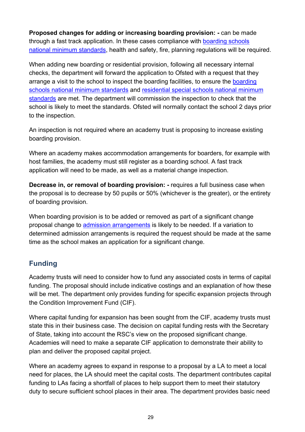**Proposed changes for adding or increasing boarding provision: -** can be made through a fast track application. In these cases compliance with [boarding schools](https://www.gov.uk/government/publications/boarding-schools-national-minimum-standards)  [national minimum standards,](https://www.gov.uk/government/publications/boarding-schools-national-minimum-standards) health and safety, fire, planning regulations will be required.

When adding new boarding or residential provision, following all necessary internal checks, the department will forward the application to Ofsted with a request that they arrange a visit to the school to inspect the [boarding](https://www.gov.uk/government/publications/boarding-schools-national-minimum-standards) facilities, to ensure the boarding [schools national minimum standards](https://www.gov.uk/government/publications/boarding-schools-national-minimum-standards) and [residential special schools national minimum](https://www.gov.uk/government/publications/residential-special-schools-national-minimum-standards)  [standards](https://www.gov.uk/government/publications/residential-special-schools-national-minimum-standards) are met. The department will commission the inspection to check that the school is likely to meet the standards. Ofsted will normally contact the school 2 days prior to the inspection.

An inspection is not required where an academy trust is proposing to increase existing boarding provision.

Where an academy makes accommodation arrangements for boarders, for example with host families, the academy must still register as a boarding school. A fast track application will need to be made, as well as a material change inspection.

**Decrease in, or removal of boarding provision: -** requires a full business case when the proposal is to decrease by 50 pupils or 50% (whichever is the greater), or the entirety of boarding provision.

When boarding provision is to be added or removed as part of a significant change proposal change to [admission arrangements](#page-29-0) is likely to be needed. If a variation to determined admission arrangements is required the request should be made at the same time as the school makes an application for a significant change.

#### <span id="page-28-0"></span>**Funding**

Academy trusts will need to consider how to fund any associated costs in terms of capital funding. The proposal should include indicative costings and an explanation of how these will be met. The department only provides funding for specific expansion projects through the Condition Improvement Fund (CIF).

Where capital funding for expansion has been sought from the CIF, academy trusts must state this in their business case. The decision on capital funding rests with the Secretary of State, taking into account the RSC's view on the proposed significant change. Academies will need to make a separate CIF application to demonstrate their ability to plan and deliver the proposed capital project.

Where an academy agrees to expand in response to a proposal by a LA to meet a local need for places, the LA should meet the capital costs. The department contributes capital funding to LAs facing a shortfall of places to help support them to meet their statutory duty to secure sufficient school places in their area. The department provides basic need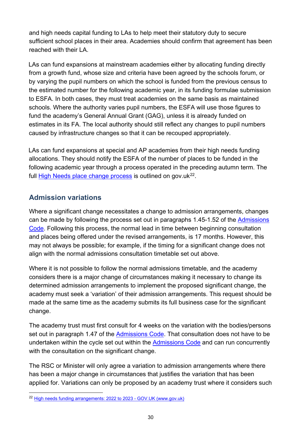and high needs capital funding to LAs to help meet their statutory duty to secure sufficient school places in their area. Academies should confirm that agreement has been reached with their LA.

LAs can fund expansions at mainstream academies either by allocating funding directly from a growth fund, whose size and criteria have been agreed by the schools forum, or by varying the pupil numbers on which the school is funded from the previous census to the estimated number for the following academic year, in its funding formulae submission to ESFA. In both cases, they must treat academies on the same basis as maintained schools. Where the authority varies pupil numbers, the ESFA will use those figures to fund the academy's General Annual Grant (GAG), unless it is already funded on estimates in its FA. The local authority should still reflect any changes to pupil numbers caused by infrastructure changes so that it can be recouped appropriately.

LAs can fund expansions at special and AP academies from their high needs funding allocations. They should notify the ESFA of the number of places to be funded in the following academic year through a process operated in the preceding autumn term. The full [High Needs place change process](https://www.gov.uk/government/publications/high-needs-funding-arrangements-2022-to-2023/high-needs-place-change-process-academic-year-2022-to-2023--2) is outlined on gov.uk $^{22}$  $^{22}$  $^{22}$ .

## <span id="page-29-0"></span>**Admission variations**

Where a significant change necessitates a change to admission arrangements, changes can be made by following the process set out in paragraphs 1.45-1.52 of the [Admissions](https://www.gov.uk/government/publications/school-admissions-code--2)  [Code.](https://www.gov.uk/government/publications/school-admissions-code--2) Following this process, the normal lead in time between beginning consultation and places being offered under the revised arrangements, is 17 months. However, this may not always be possible; for example, if the timing for a significant change does not align with the normal admissions consultation timetable set out above.

Where it is not possible to follow the normal admissions timetable, and the academy considers there is a major change of circumstances making it necessary to change its determined admission arrangements to implement the proposed significant change, the academy must seek a 'variation' of their admission arrangements. This request should be made at the same time as the academy submits its full business case for the significant change.

The academy trust must first consult for 4 weeks on the variation with the bodies/persons set out in paragraph 1.47 of the [Admissions Code.](https://www.gov.uk/government/publications/school-admissions-code--2) That consultation does not have to be undertaken within the cycle set out within the [Admissions Code](https://www.gov.uk/government/publications/school-admissions-code--2) and can run concurrently with the consultation on the significant change.

The RSC or Minister will only agree a variation to admission arrangements where there has been a major change in circumstances that justifies the variation that has been applied for. Variations can only be proposed by an academy trust where it considers such

<span id="page-29-1"></span><sup>22</sup> [High needs funding arrangements: 2022 to 2023 - GOV.UK \(www.gov.uk\)](https://www.gov.uk/government/publications/high-needs-funding-arrangements-2022-to-2023)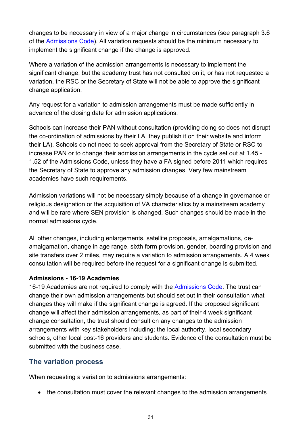changes to be necessary in view of a major change in circumstances (see paragraph 3.6 of the [Admissions Code\)](https://www.gov.uk/government/publications/school-admissions-code--2). All variation requests should be the minimum necessary to implement the significant change if the change is approved.

Where a variation of the admission arrangements is necessary to implement the significant change, but the academy trust has not consulted on it, or has not requested a variation, the RSC or the Secretary of State will not be able to approve the significant change application.

Any request for a variation to admission arrangements must be made sufficiently in advance of the closing date for admission applications.

Schools can increase their PAN without consultation (providing doing so does not disrupt the co-ordination of admissions by their LA, they publish it on their website and inform their LA). Schools do not need to seek approval from the Secretary of State or RSC to increase PAN or to change their admission arrangements in the cycle set out at 1.45 - 1.52 of the [Admissions Code,](https://www.gov.uk/government/publications/school-admissions-code--2) unless they have a FA signed before 2011 which requires the Secretary of State to approve any admission changes. Very few mainstream academies have such requirements.

Admission variations will not be necessary simply because of a change in governance or religious designation or the acquisition of VA characteristics by a mainstream academy and will be rare where SEN provision is changed. Such changes should be made in the normal admissions cycle.

All other changes, including enlargements, satellite proposals, amalgamations, deamalgamation, change in age range, sixth form provision, gender, boarding provision and site transfers over 2 miles, may require a variation to admission arrangements. A 4 week consultation will be required before the request for a significant change is submitted.

#### **Admissions - 16-19 Academies**

16-19 Academies are not required to comply with the [Admissions Code.](https://www.gov.uk/government/publications/school-admissions-code--2) The trust can change their own admission arrangements but should set out in their consultation what changes they will make if the significant change is agreed. If the proposed significant change will affect their admission arrangements, as part of their 4 week significant change consultation, the trust should consult on any changes to the admission arrangements with key stakeholders including; the local authority, local secondary schools, other local post-16 providers and students. Evidence of the consultation must be submitted with the business case.

## <span id="page-30-0"></span>**The variation process**

When requesting a variation to admissions arrangements:

• the consultation must cover the relevant changes to the admission arrangements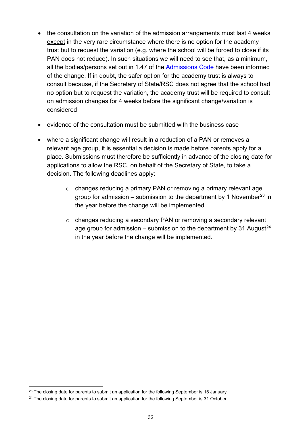- the consultation on the variation of the admission arrangements must last 4 weeks except in the very rare circumstance where there is no option for the academy trust but to request the variation (e.g. where the school will be forced to close if its PAN does not reduce). In such situations we will need to see that, as a minimum, all the bodies/persons set out in 1.47 of the [Admissions Code](https://www.gov.uk/government/publications/school-admissions-code--2) have been informed of the change. If in doubt, the safer option for the academy trust is always to consult because, if the Secretary of State/RSC does not agree that the school had no option but to request the variation, the academy trust will be required to consult on admission changes for 4 weeks before the significant change/variation is considered
- evidence of the consultation must be submitted with the business case
- where a significant change will result in a reduction of a PAN or removes a relevant age group, it is essential a decision is made before parents apply for a place. Submissions must therefore be sufficiently in advance of the closing date for applications to allow the RSC, on behalf of the Secretary of State, to take a decision. The following deadlines apply:
	- o changes reducing a primary PAN or removing a primary relevant age group for admission – submission to the department by 1 November<sup>[23](#page-31-0)</sup> in the year before the change will be implemented
	- o changes reducing a secondary PAN or removing a secondary relevant age group for admission – submission to the department by 31 August<sup>[24](#page-31-1)</sup> in the year before the change will be implemented.

<span id="page-31-0"></span> $23$  The closing date for parents to submit an application for the following September is 15 January

<span id="page-31-1"></span> $24$  The closing date for parents to submit an application for the following September is 31 October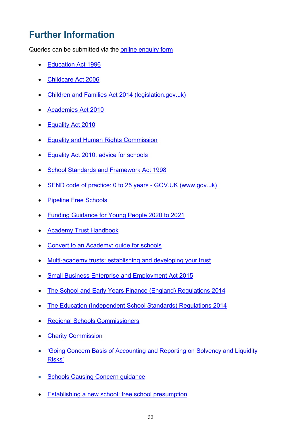# <span id="page-32-0"></span>**Further Information**

Queries can be submitted via the [online enquiry form](https://form.education.gov.uk/service/Contact_the_Department_for_Education) 

- [Education Act 1996](http://www.legislation.gov.uk/ukpga/1996/56/contents)
- Childcare Act 2006
- [Children and Families Act 2014 \(legislation.gov.uk\)](https://www.legislation.gov.uk/ukpga/2014/6/contents/enacted)
- [Academies Act 2010](http://www.legislation.gov.uk/ukpga/2010/32/contents)
- Equality [Act 2010](http://www.legislation.gov.uk/ukpga/2010/15/contents)
- [Equality and Human Rights Commission](http://www.equalityhumanrights.com/en)
- [Equality Act 2010: advice for schools](https://www.gov.uk/government/publications/equality-act-2010-advice-for-schools)
- [School Standards and Framework Act 1998](http://www.legislation.gov.uk/ukpga/1998/31/contents)
- [SEND code of practice: 0 to 25 years GOV.UK \(www.gov.uk\)](https://www.gov.uk/government/publications/send-code-of-practice-0-to-25)
- [Pipeline Free Schools](http://www.gov.uk/government/publications/free-schools-successful-applications)
- Funding [Guidance for Young People 2020 to 2021](https://assets.publishing.service.gov.uk/government/uploads/system/uploads/attachment_data/file/936971/ILR-funding-returns-guidance-2020-to-2021-v-1.1.pdf#:%7E:text=1.%20The%20funding%20guidance%20for%20young%20people%202020,the%20Education%20and%20Skills%20Funding%20Agency%20%28ESFA%29.%202.)
- [Academy Trust Handbook](https://www.gov.uk/guidance/academy-trust-handbook)
- [Convert to an Academy: guide for schools](https://www.gov.uk/guidance/convert-to-an-academy-information-for-schools)
- [Multi-academy trusts: establishing and developing your trust](https://www.gov.uk/government/publications/multi-academy-trusts-establishing-and-developing-your-trust)
- [Small Business Enterprise and Employment Act 2015](http://www.legislation.gov.uk/ukpga/2015/26/contents/enacted)
- [The School and Early Years Finance \(England\) Regulations 2014](http://www.legislation.gov.uk/uksi/2014/3352/contents/made)
- [The Education \(Independent School Standards\) Regulations 2014](http://www.legislation.gov.uk/uksi/2014/3283/contents/made)
- [Regional Schools Commissioners](https://educationgovuk.sharepoint.com/sites/SchoolOrganisationUnit/Shared%20Documents/Guidance%20and%20legislative%20framework/Guidance%20Review%202021/Significant%20Change%20&%20Academy%20Closure%20-guidance%20review/%22https:/www.gov.uk/government/organisations/regional-schools-commissioners)
- [Charity Commission](https://www.gov.uk/government/organisations/charity-commission)
- ['Going Concern Basis of Accounting and Reporting on Solvency and Liquidity](https://www.frc.org.uk/news/april-2016/guidance-on-the-going-concern-basis-of-accounting)  [Risks'](https://www.frc.org.uk/news/april-2016/guidance-on-the-going-concern-basis-of-accounting)
- **[Schools Causing Concern guidance](https://www.gov.uk/government/publications/schools-causing-concern--2)**
- Establishing a new school: free school presumption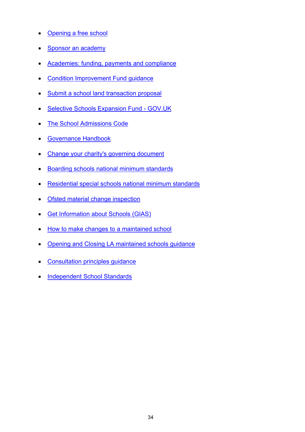- [Opening a free school](https://www.gov.uk/government/collections/opening-a-free-school)
- [Sponsor an academy](https://www.gov.uk/guidance/sponsor-an-academy)
- [Academies: funding, payments and compliance](https://www.gov.uk/government/collections/academies-funding-payments-and-compliance)
- [Condition Improvement Fund guidance](https://www.gov.uk/condition-improvement-fund)
- [Submit a school land transaction proposal](https://www.gov.uk/guidance/submit-a-school-land-transaction-proposal)
- Selective Schools Expansion Fund GOV.UK
- [The School Admissions Code](https://www.gov.uk/government/publications/school-admissions-code--2)
- [Governance Handbook](https://www.gov.uk/government/publications/governance-handbook)
- [Change your charity's governing document](https://www.gov.uk/change-your-charitys-governing-document)
- [Boarding schools national minimum standards](https://www.gov.uk/government/publications/boarding-schools-national-minimum-standards)
- [Residential special schools national minimum standards](https://www.gov.uk/government/publications/residential-special-schools-national-minimum-standards)
- [Ofsted material change inspection](https://www.gov.uk/government/publications/national-minimum-standards-check-sheet-for-a-material-change-inspection-of-an-independent-school)
- [Get Information about Schools](https://www.get-information-schools.service.gov.uk/) (GIAS)
- [How to make changes to a maintained school](https://www.gov.uk/government/publications/school-organisation-maintained-schools)
- [Opening and Closing LA maintained schools guidance](https://www.gov.uk/government/publications/school-organisation-maintained-schools)
- [Consultation principles guidance](https://www.gov.uk/government/publications/consultation-principles-guidance)
- [Independent School Standards](https://assets.publishing.service.gov.uk/government/uploads/system/uploads/attachment_data/file/389467/Revised_independent_school_standards.pdf)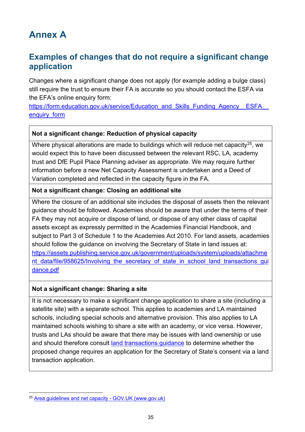# <span id="page-34-1"></span><span id="page-34-0"></span>**Annex A**

## **Examples of changes that do not require a significant change application**

Changes where a significant change does not apply (for example adding a bulge class) still require the trust to ensure their FA is accurate so you should contact the ESFA via the EFA's online enquiry form:

https://form.education.gov.uk/service/Education\_and\_Skills\_Funding\_Agency\_\_ESFA enquiry form

#### **Not a significant change: Reduction of physical capacity**

Where physical alterations are made to buildings which will reduce net capacity<sup>25</sup>, we would expect this to have been discussed between the relevant RSC, LA, academy trust and DfE Pupil Place Planning adviser as appropriate. We may require further information before a new Net Capacity Assessment is undertaken and a Deed of Variation completed and reflected in the capacity figure in the FA.

#### **Not a significant change: Closing an additional site**

Where the closure of an additional site includes the disposal of assets then the relevant guidance should be followed. Academies should be aware that under the terms of their FA they may not acquire or dispose of land, or dispose of any other class of capital assets except as expressly permitted in the Academies Financial Handbook, and subject to Part 3 of Schedule 1 to the Academies Act 2010. For land assets, academies should follow the guidance on involving the Secretary of State in land issues at: [https://assets.publishing.service.gov.uk/government/uploads/system/uploads/attachme](https://assets.publishing.service.gov.uk/government/uploads/system/uploads/attachment_data/file/958625/Involving_the_secretary_of_state_in_school_land_transactions_guidance.pdf) nt data/file/958625/Involving the secretary of state in school land transactions qui [dance.pdf](https://assets.publishing.service.gov.uk/government/uploads/system/uploads/attachment_data/file/958625/Involving_the_secretary_of_state_in_school_land_transactions_guidance.pdf)

#### **Not a significant change: Sharing a site**

It is not necessary to make a significant change application to share a site (including a satellite site) with a separate school. This applies to academies and LA maintained schools, including special schools and alternative provision. This also applies to LA maintained schools wishing to share a site with an academy, or vice versa. However, trusts and LAs should be aware that there may be issues with land ownership or use and should therefore consult [land transactions guidance](https://assets.publishing.service.gov.uk/government/uploads/system/uploads/attachment_data/file/958625/Involving_the_secretary_of_state_in_school_land_transactions_guidance.pdf) to determine whether the proposed change requires an application for the Secretary of State's consent via a land transaction application.

<span id="page-34-2"></span><sup>25</sup> [Area guidelines and net capacity - GOV.UK \(www.gov.uk\)](https://www.gov.uk/government/publications/area-guidelines-and-net-capacity)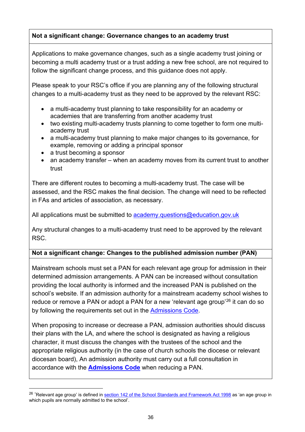#### **Not a significant change: Governance changes to an academy trust**

Applications to make governance changes, such as a single academy trust joining or becoming a multi academy trust or a trust adding a new free school, are not required to follow the significant change process, and this guidance does not apply.

Please speak to your RSC's office if you are planning any of the following structural changes to a multi-academy trust as they need to be approved by the relevant RSC:

- a multi-academy trust planning to take responsibility for an academy or academies that are transferring from another academy trust
- two existing multi-academy trusts planning to come together to form one multiacademy trust
- a multi-academy trust planning to make major changes to its governance, for example, removing or adding a principal sponsor
- a trust becoming a sponsor
- an academy transfer when an academy moves from its current trust to another trust

There are different routes to becoming a multi-academy trust. The case will be assessed, and the RSC makes the final decision. The change will need to be reflected in FAs and articles of association, as necessary.

All applications must be submitted to academy.questions@education.gov.uk

Any structural changes to a multi-academy trust need to be approved by the relevant RSC.

#### **Not a significant change: Changes to the published admission number (PAN)**

Mainstream schools must set a PAN for each relevant age group for admission in their determined admission arrangements. A PAN can be increased without consultation providing the local authority is informed and the increased PAN is published on the school's website. If an admission authority for a mainstream academy school wishes to reduce or remove a PAN or adopt a PAN for a new 'relevant age group'<sup>[26](#page-35-0)</sup> it can do so by following the requirements set out in the **Admissions Code**.

When proposing to increase or decrease a PAN, admission authorities should discuss their plans with the LA, and where the school is designated as having a religious character, it must discuss the changes with the trustees of the school and the appropriate religious authority (in the case of church schools the diocese or relevant diocesan board), An admission authority must carry out a full consultation in accordance with the **[Admissions Code](https://www.gov.uk/government/publications/school-admissions-code--2)** when reducing a PAN.

<span id="page-35-0"></span><sup>&</sup>lt;sup>26</sup> 'Relevant age group' is defined in [section 142 of the School Standards and Framework Act 1998](http://www.legislation.gov.uk/ukpga/1998/31/section/142) as 'an age group in which pupils are normally admitted to the school'.